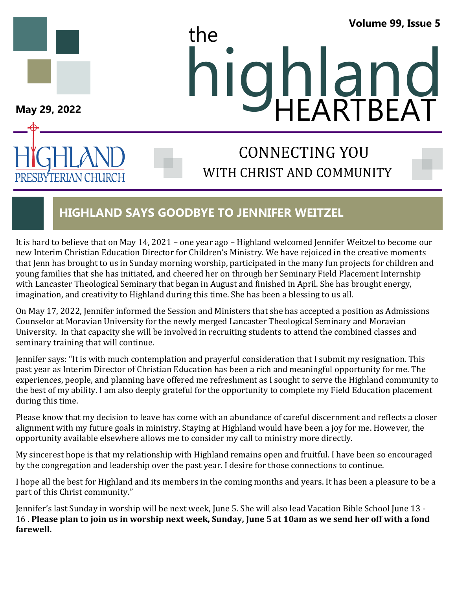### **Volume 99, Issue 5**



PRESBYTERIAN CHURCH

# **May 29, 2022**<br>May 29, 2022 the HEARTBEAT

# WITH CHRIST AND COMMUNITY CONNECTING YOU

# **HIGHLAND SAYS GOODBYE TO JENNIFER WEITZEL**

It is hard to believe that on May 14, 2021 – one year ago – Highland welcomed Jennifer Weitzel to become our new Interim Christian Education Director for Children's Ministry. We have rejoiced in the creative moments that Jenn has brought to us in Sunday morning worship, participated in the many fun projects for children and young families that she has initiated, and cheered her on through her Seminary Field Placement Internship with Lancaster Theological Seminary that began in August and finished in April. She has brought energy, imagination, and creativity to Highland during this time. She has been a blessing to us all.

On May 17, 2022, Jennifer informed the Session and Ministers that she has accepted a position as Admissions Counselor at Moravian University for the newly merged Lancaster Theological Seminary and Moravian University. In that capacity she will be involved in recruiting students to attend the combined classes and seminary training that will continue.

Jennifer says: "It is with much contemplation and prayerful consideration that I submit my resignation. This past year as Interim Director of Christian Education has been a rich and meaningful opportunity for me. The experiences, people, and planning have offered me refreshment as I sought to serve the Highland community to the best of my ability. I am also deeply grateful for the opportunity to complete my Field Education placement during this time.

Please know that my decision to leave has come with an abundance of careful discernment and reflects a closer alignment with my future goals in ministry. Staying at Highland would have been a joy for me. However, the opportunity available elsewhere allows me to consider my call to ministry more directly.

My sincerest hope is that my relationship with Highland remains open and fruitful. I have been so encouraged by the congregation and leadership over the past year. I desire for those connections to continue.

I hope all the best for Highland and its members in the coming months and years. It has been a pleasure to be a part of this Christ community."

Jennifer's last Sunday in worship will be next week, June 5. She will also lead Vacation Bible School June 13 - 16 . **Please plan to join us in worship next week, Sunday, June 5 at 10am as we send her off with a fond farewell.**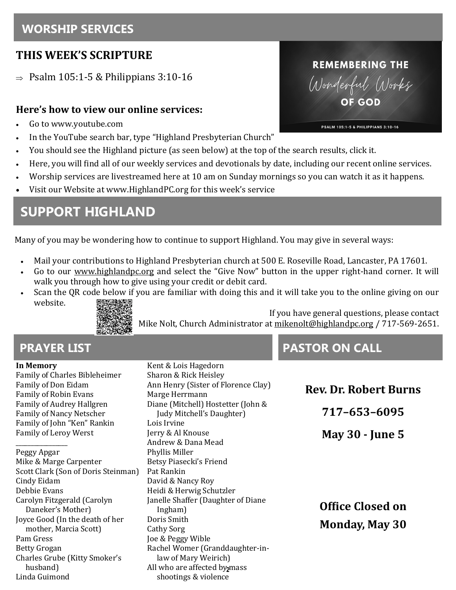# **WORSHIP SERVICES**

# **THIS WEEK'S SCRIPTURE**

 $\Rightarrow$  Psalm 105:1-5 & Philippians 3:10-16

### **Here's how to view our online services:**

- Go to www.youtube.com
- In the YouTube search bar, type "Highland Presbyterian Church"
- You should see the Highland picture (as seen below) at the top of the search results, click it.
- Here, you will find all of our weekly services and devotionals by date, including our recent online services.
- Worship services are livestreamed here at 10 am on Sunday mornings so you can watch it as it happens.
- Visit our Website at www.HighlandPC.org for this week's service

# **SUPPORT HIGHLAND**

Many of you may be wondering how to continue to support Highland. You may give in several ways:

- Mail your contributions to Highland Presbyterian church at 500 E. Roseville Road, Lancaster, PA 17601.
- Go to our [www.highlandpc.org](http://www.highlandpc.org) and select the "Give Now" button in the upper right-hand corner. It will walk you through how to give using your credit or debit card.
	- Scan the QR code below if you are familiar with doing this and it will take you to the online giving on our website.



If you have general questions, please contact Mike Nolt, Church Administrator at [mikenolt@highlandpc.org](mailto:mikenolt@highlandpc.org) / 717-569-2651.

### **In Memory**

Family of Charles Bibleheimer Family of Don Eidam Family of Robin Evans Family of Audrey Hallgren Family of Nancy Netscher Family of John "Ken" Rankin Family of Leroy Werst

\_\_\_\_\_\_\_\_\_\_\_\_\_\_\_\_\_ Peggy Apgar Mike & Marge Carpenter Scott Clark (Son of Doris Steinman) Cindy Eidam Debbie Evans Carolyn Fitzgerald (Carolyn Daneker's Mother) Joyce Good (In the death of her mother, Marcia Scott) Pam Gress Betty Grogan Charles Grube (Kitty Smoker's husband) Linda Guimond

All who are affected by<sub>2</sub>mass Kent & Lois Hagedorn Sharon & Rick Heisley Ann Henry (Sister of Florence Clay) Marge Herrmann Diane (Mitchell) Hostetter (John & Judy Mitchell's Daughter) Lois Irvine Jerry & Al Knouse Andrew & Dana Mead Phyllis Miller Betsy Piasecki's Friend Pat Rankin David & Nancy Roy Heidi & Herwig Schutzler Janelle Shaffer (Daughter of Diane Ingham) Doris Smith Cathy Sorg Joe & Peggy Wible Rachel Womer (Granddaughter-inlaw of Mary Weirich) shootings & violence

# **PRAYER LIST CONSUMING THE RESIDENCE IN THE PASTOR ON CALL**

**Rev. Dr. Robert Burns 717–653–6095 May 30 - June 5 Office Closed on Monday, May 30**

# **REMEMBERING THE** Wonderful Works

PSALM 105:1-5 & PHILIPPIANS 3:10-16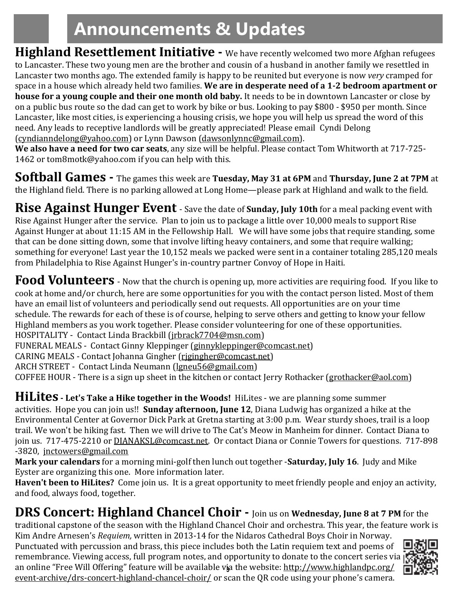# **Announcements & Updates**

**Highland Resettlement Initiative -** We have recently welcomed two more Afghan refugees to Lancaster. These two young men are the brother and cousin of a husband in another family we resettled in Lancaster two months ago. The extended family is happy to be reunited but everyone is now *very* cramped for space in a house which already held two families. **We are in desperate need of a 1-2 bedroom apartment or house for a young couple and their one month old baby.** It needs to be in downtown Lancaster or close by on a public bus route so the dad can get to work by bike or bus. Looking to pay \$800 - \$950 per month. Since Lancaster, like most cities, is experiencing a housing crisis, we hope you will help us spread the word of this need. Any leads to receptive landlords will be greatly appreciated! Please email Cyndi Delong ([cyndianndelong@yahoo.com\)](mailto:cyndianndelong@yahoo.com) or Lynn Dawson [\(dawsonlynnc@gmail.com\).](mailto:dawsonlynnc@gmail.com)

**We also have a need for two car seats**, any size will be helpful. Please contact Tom Whitworth at 717-725- 1462 or tom8motk@yahoo.com if you can help with this.

**Softball Games -** The games this week are **Tuesday, May 31 at 6PM** and **Thursday, June 2 at 7PM** at the Highland field. There is no parking allowed at Long Home—please park at Highland and walk to the field.

**Rise Against Hunger Event** - Save the date of **Sunday, July 10th** for a meal packing event with Rise Against Hunger after the service. Plan to join us to package a little over 10,000 meals to support Rise Against Hunger at about 11:15 AM in the Fellowship Hall. We will have some jobs that require standing, some that can be done sitting down, some that involve lifting heavy containers, and some that require walking; something for everyone! Last year the 10,152 meals we packed were sent in a container totaling 285,120 meals from Philadelphia to Rise Against Hunger's in-country partner Convoy of Hope in Haiti.

Food Volunteers - Now that the church is opening up, more activities are requiring food. If you like to cook at home and/or church, here are some opportunities for you with the contact person listed. Most of them have an email list of volunteers and periodically send out requests. All opportunities are on your time schedule. The rewards for each of these is of course, helping to serve others and getting to know your fellow Highland members as you work together. Please consider volunteering for one of these opportunities. HOSPITALITY - Contact Linda Brackbill [\(jrbrack7704@msn.com\)](mailto:jrbrack7704@msn.com)

FUNERAL MEALS - Contact Ginny Kleppinger [\(ginnykleppinger@comcast.net\)](mailto:ginnykleppinger@comcast.net)

CARING MEALS - Contact Johanna Gingher ([rjgingher@comcast.net\)](mailto:rjgingher@comcast.net) 

ARCH STREET - Contact Linda Neumann ([lgneu56@gmail.com\)](mailto:lgneu56@gmail.com) 

COFFEE HOUR - There is a sign up sheet in the kitchen or contact Jerry Rothacker [\(grothacker@aol.com\)](mailto:grothacker@aol.com)

## **HiLites - Let's Take a Hike together in the Woods!** HiLites - we are planning some summer

activities. Hope you can join us!! **Sunday afternoon, June 12**, Diana Ludwig has organized a hike at the Environmental Center at Governor Dick Park at Gretna starting at 3:00 p.m. Wear sturdy shoes, trail is a loop trail. We won't be hiking fast. Then we will drive to The Cat's Meow in Manheim for dinner. Contact Diana to join us. 717-475-2210 or **DIANAKSL@comcast.net**. Or contact Diana or Connie Towers for questions. 717-898 -3820, [jnctowers@gmail.com](mailto:jnctowers@gmail.com)

**Mark your calendars** for a morning mini-golf then lunch out together -**Saturday, July 16**. Judy and Mike Eyster are organizing this one. More information later.

**Haven't been to HiLites?** Come join us. It is a great opportunity to meet friendly people and enjoy an activity, and food, always food, together.

# **DRS Concert: Highland Chancel Choir -** Join us on **Wednesday, June 8 at 7 PM** for the

traditional capstone of the season with the Highland Chancel Choir and orchestra. This year, the feature work is Kim Andre Arnesen's *Requiem,* written in 2013-14 for the Nidaros Cathedral Boys Choir in Norway.

an online "Free Will Offering" feature will be available v**j**a the website: <u>[http://www.highlandpc.org/](http://www.highlandpc.org/event-archive/drs-concert-highland-chancel-choir/)</u> Punctuated with percussion and brass, this piece includes both the Latin requiem text and poems of remembrance. Viewing access, full program notes, and opportunity to donate to the concert series via event-[archive/drs](http://www.highlandpc.org/event-archive/drs-concert-highland-chancel-choir/)-concert-highland-chancel-choir/ or scan the QR code using your phone's camera.